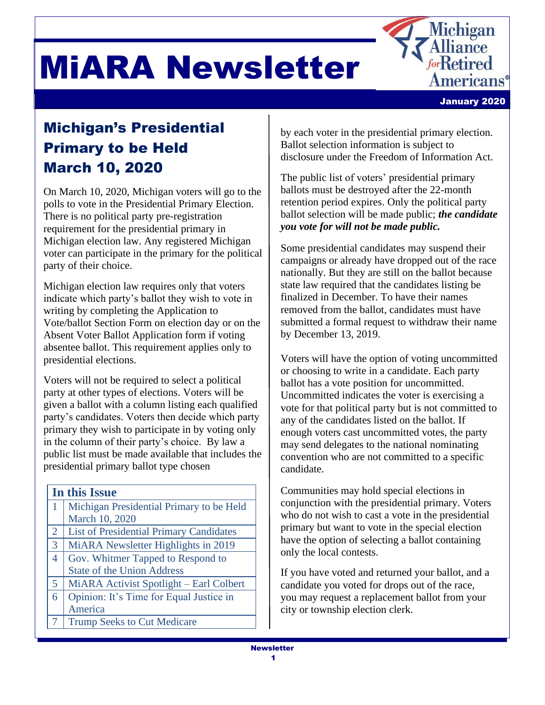



# Michigan's Presidential Primary to be Held March 10, 2020

On March 10, 2020, Michigan voters will go to the polls to vote in the Presidential Primary Election. There is no political party pre-registration requirement for the presidential primary in Michigan election law. Any registered Michigan voter can participate in the primary for the political party of their choice.

Michigan election law requires only that voters indicate which party's ballot they wish to vote in writing by completing the Application to Vote/ballot Section Form on election day or on the Absent Voter Ballot Application form if voting absentee ballot. This requirement applies only to presidential elections.

Voters will not be required to select a political party at other types of elections. Voters will be given a ballot with a column listing each qualified party's candidates. Voters then decide which party primary they wish to participate in by voting only in the column of their party's choice. By law a public list must be made available that includes the presidential primary ballot type chosen

| In this Issue  |                                                |
|----------------|------------------------------------------------|
|                | Michigan Presidential Primary to be Held       |
|                | March 10, 2020                                 |
| $\overline{2}$ | <b>List of Presidential Primary Candidates</b> |
| $\overline{3}$ | MiARA Newsletter Highlights in 2019            |
| 4              | Gov. Whitmer Tapped to Respond to              |
|                | <b>State of the Union Address</b>              |
| 5 <sup>5</sup> | MiARA Activist Spotlight – Earl Colbert        |
| 6              | Opinion: It's Time for Equal Justice in        |
|                | America                                        |
|                | <b>Trump Seeks to Cut Medicare</b>             |

by each voter in the presidential primary election. Ballot selection information is subject to disclosure under the Freedom of Information Act.

The public list of voters' presidential primary ballots must be destroyed after the 22-month retention period expires. Only the political party ballot selection will be made public; *the candidate you vote for will not be made public.* 

Some presidential candidates may suspend their campaigns or already have dropped out of the race nationally. But they are still on the ballot because state law required that the candidates listing be finalized in December. To have their names removed from the ballot, candidates must have submitted a formal request to withdraw their name by December 13, 2019.

Voters will have the option of voting uncommitted or choosing to write in a candidate. Each party ballot has a vote position for uncommitted. Uncommitted indicates the voter is exercising a vote for that political party but is not committed to any of the candidates listed on the ballot. If enough voters cast uncommitted votes, the party may send delegates to the national nominating convention who are not committed to a specific candidate.

Communities may hold special elections in conjunction with the presidential primary. Voters who do not wish to cast a vote in the presidential primary but want to vote in the special election have the option of selecting a ballot containing only the local contests.

If you have voted and returned your ballot, and a candidate you voted for drops out of the race, you may request a replacement ballot from your city or township election clerk.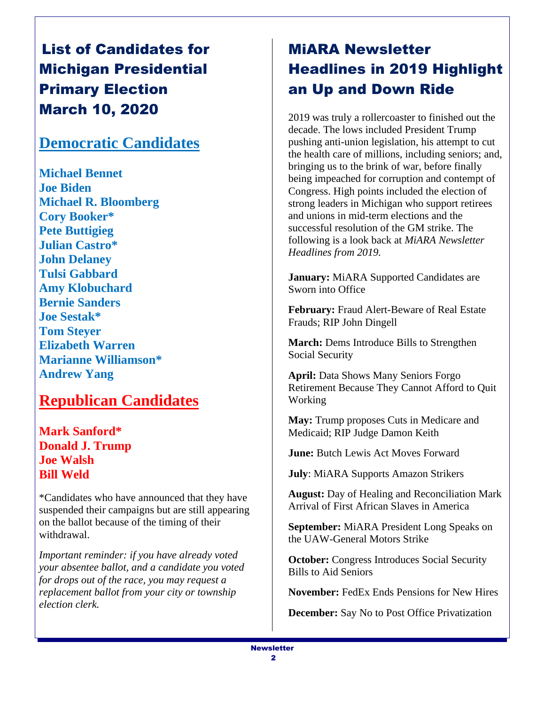# List of Candidates for Michigan Presidential Primary Election March 10, 2020

#### **Democratic Candidates**

**Michael Bennet Joe Biden Michael R. Bloomberg Cory Booker\* Pete Buttigieg Julian Castro\* John Delaney Tulsi Gabbard Amy Klobuchard Bernie Sanders Joe Sestak\* Tom Steyer Elizabeth Warren Marianne Williamson\* Andrew Yang**

#### **Republican Candidates**

**Mark Sanford\* Donald J. Trump Joe Walsh Bill Weld**

\*Candidates who have announced that they have suspended their campaigns but are still appearing on the ballot because of the timing of their withdrawal.

*Important reminder: if you have already voted your absentee ballot, and a candidate you voted for drops out of the race, you may request a replacement ballot from your city or township election clerk.*

# MiARA Newsletter Headlines in 2019 Highlight an Up and Down Ride

2019 was truly a rollercoaster to finished out the decade. The lows included President Trump pushing anti-union legislation, his attempt to cut the health care of millions, including seniors; and, bringing us to the brink of war, before finally being impeached for corruption and contempt of Congress. High points included the election of strong leaders in Michigan who support retirees and unions in mid-term elections and the successful resolution of the GM strike. The following is a look back at *MiARA Newsletter Headlines from 2019.* 

**January:** MiARA Supported Candidates are Sworn into Office

**February:** Fraud Alert-Beware of Real Estate Frauds; RIP John Dingell

**March:** Dems Introduce Bills to Strengthen Social Security

**April:** Data Shows Many Seniors Forgo Retirement Because They Cannot Afford to Quit Working

**May:** Trump proposes Cuts in Medicare and Medicaid; RIP Judge Damon Keith

**June:** Butch Lewis Act Moves Forward

**July**: MiARA Supports Amazon Strikers

**August:** Day of Healing and Reconciliation Mark Arrival of First African Slaves in America

**September:** MiARA President Long Speaks on the UAW-General Motors Strike

**October:** Congress Introduces Social Security Bills to Aid Seniors

**November:** FedEx Ends Pensions for New Hires

**December:** Say No to Post Office Privatization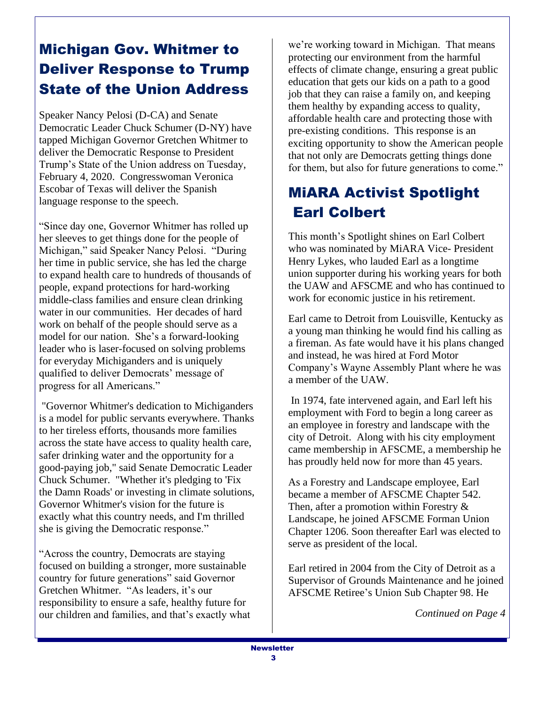# Michigan Gov. Whitmer to Deliver Response to Trump State of the Union Address

Speaker Nancy Pelosi (D-CA) and Senate Democratic Leader Chuck Schumer (D-NY) have tapped Michigan Governor Gretchen Whitmer to deliver the Democratic Response to President Trump's State of the Union address on Tuesday, February 4, 2020. Congresswoman Veronica Escobar of Texas will deliver the Spanish language response to the speech.

"Since day one, Governor Whitmer has rolled up her sleeves to get things done for the people of Michigan," said Speaker Nancy Pelosi. "During her time in public service, she has led the charge to expand health care to hundreds of thousands of people, expand protections for hard-working middle-class families and ensure clean drinking water in our communities. Her decades of hard work on behalf of the people should serve as a model for our nation. She's a forward-looking leader who is laser-focused on solving problems for everyday Michiganders and is uniquely qualified to deliver Democrats' message of progress for all Americans."

"Governor Whitmer's dedication to Michiganders is a model for public servants everywhere. Thanks to her tireless efforts, thousands more families across the state have access to quality health care, safer drinking water and the opportunity for a good-paying job," said Senate Democratic Leader Chuck Schumer. "Whether it's pledging to 'Fix the Damn Roads' or investing in climate solutions, Governor Whitmer's vision for the future is exactly what this country needs, and I'm thrilled she is giving the Democratic response."

"Across the country, Democrats are staying focused on building a stronger, more sustainable country for future generations" said Governor Gretchen Whitmer. "As leaders, it's our responsibility to ensure a safe, healthy future for our children and families, and that's exactly what we're working toward in Michigan. That means protecting our environment from the harmful effects of climate change, ensuring a great public education that gets our kids on a path to a good job that they can raise a family on, and keeping them healthy by expanding access to quality, affordable health care and protecting those with pre-existing conditions. This response is an exciting opportunity to show the American people that not only are Democrats getting things done for them, but also for future generations to come."

## MiARA Activist Spotlight Earl Colbert

This month's Spotlight shines on Earl Colbert who was nominated by MiARA Vice- President Henry Lykes, who lauded Earl as a longtime union supporter during his working years for both the UAW and AFSCME and who has continued to work for economic justice in his retirement.

Earl came to Detroit from Louisville, Kentucky as a young man thinking he would find his calling as a fireman. As fate would have it his plans changed and instead, he was hired at Ford Motor Company's Wayne Assembly Plant where he was a member of the UAW.

In 1974, fate intervened again, and Earl left his employment with Ford to begin a long career as an employee in forestry and landscape with the city of Detroit. Along with his city employment came membership in AFSCME, a membership he has proudly held now for more than 45 years.

As a Forestry and Landscape employee, Earl became a member of AFSCME Chapter 542. Then, after a promotion within Forestry & Landscape, he joined AFSCME Forman Union Chapter 1206. Soon thereafter Earl was elected to serve as president of the local.

Earl retired in 2004 from the City of Detroit as a Supervisor of Grounds Maintenance and he joined AFSCME Retiree's Union Sub Chapter 98. He

*Continued on Page 4*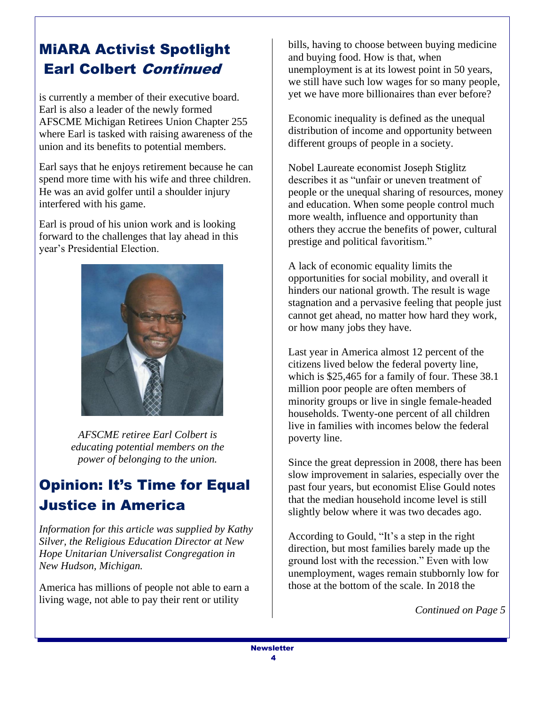### MiARA Activist Spotlight Earl Colbert Continued

is currently a member of their executive board. Earl is also a leader of the newly formed AFSCME Michigan Retirees Union Chapter 255 where Earl is tasked with raising awareness of the union and its benefits to potential members.

Earl says that he enjoys retirement because he can spend more time with his wife and three children. He was an avid golfer until a shoulder injury interfered with his game.

Earl is proud of his union work and is looking forward to the challenges that lay ahead in this year's Presidential Election.



*AFSCME retiree Earl Colbert is educating potential members on the power of belonging to the union.*

## Opinion: It's Time for Equal Justice in America

*Information for this article was supplied by Kathy Silver, the Religious Education Director at New Hope Unitarian Universalist Congregation in New Hudson, Michigan.*

America has millions of people not able to earn a living wage, not able to pay their rent or utility

bills, having to choose between buying medicine and buying food. How is that, when unemployment is at its lowest point in 50 years, we still have such low wages for so many people, yet we have more billionaires than ever before?

Economic inequality is defined as the unequal distribution of income and opportunity between different groups of people in a society.

Nobel Laureate economist Joseph Stiglitz describes it as "unfair or uneven treatment of people or the unequal sharing of resources, money and education. When some people control much more wealth, influence and opportunity than others they accrue the benefits of power, cultural prestige and political favoritism."

A lack of economic equality limits the opportunities for social mobility, and overall it hinders our national growth. The result is wage stagnation and a pervasive feeling that people just cannot get ahead, no matter how hard they work, or how many jobs they have.

Last year in America almost 12 percent of the citizens lived below the federal poverty line, which is \$25,465 for a family of four. These 38.1 million poor people are often members of minority groups or live in single female-headed households. Twenty-one percent of all children live in families with incomes below the federal poverty line.

Since the great depression in 2008, there has been slow improvement in salaries, especially over the past four years, but economist Elise Gould notes that the median household income level is still slightly below where it was two decades ago.

According to Gould, "It's a step in the right direction, but most families barely made up the ground lost with the recession." Even with low unemployment, wages remain stubbornly low for those at the bottom of the scale. In 2018 the

*Continued on Page 5*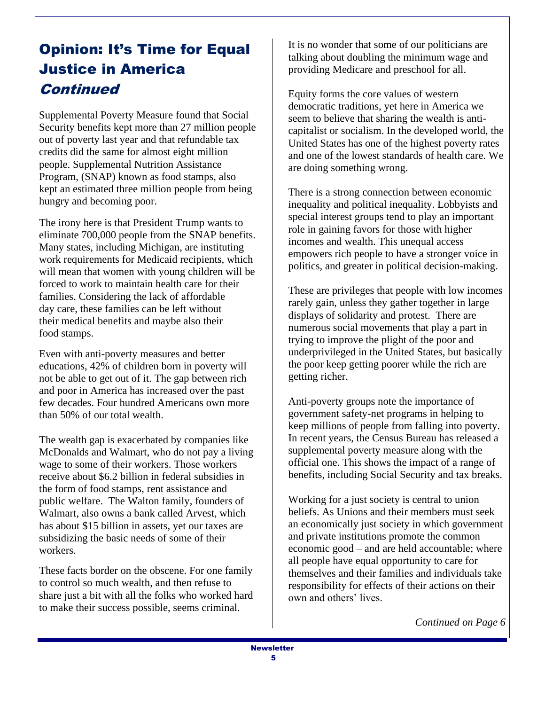## Opinion: It's Time for Equal Justice in America **Continued**

Supplemental Poverty Measure found that Social Security benefits kept more than 27 million people out of poverty last year and that refundable tax credits did the same for almost eight million people. Supplemental Nutrition Assistance Program, (SNAP) known as food stamps, also kept an estimated three million people from being hungry and becoming poor.

The irony here is that President Trump wants to eliminate 700,000 people from the SNAP benefits. Many states, including Michigan, are instituting work requirements for Medicaid recipients, which will mean that women with young children will be forced to work to maintain health care for their families. Considering the lack of affordable day care, these families can be left without their medical benefits and maybe also their food stamps.

Even with anti-poverty measures and better educations, 42% of children born in poverty will not be able to get out of it. The gap between rich and poor in America has increased over the past few decades. Four hundred Americans own more than 50% of our total wealth.

The wealth gap is exacerbated by companies like McDonalds and Walmart, who do not pay a living wage to some of their workers. Those workers receive about \$6.2 billion in federal subsidies in the form of food stamps, rent assistance and public welfare. The Walton family, founders of Walmart, also owns a bank called Arvest, which has about \$15 billion in assets, yet our taxes are subsidizing the basic needs of some of their workers.

These facts border on the obscene. For one family to control so much wealth, and then refuse to share just a bit with all the folks who worked hard to make their success possible, seems criminal.

It is no wonder that some of our politicians are talking about doubling the minimum wage and providing Medicare and preschool for all.

Equity forms the core values of western democratic traditions, yet here in America we seem to believe that sharing the wealth is anticapitalist or socialism. In the developed world, the United States has one of the highest poverty rates and one of the lowest standards of health care. We are doing something wrong.

There is a strong connection between economic inequality and political inequality. Lobbyists and special interest groups tend to play an important role in gaining favors for those with higher incomes and wealth. This unequal access empowers rich people to have a stronger voice in politics, and greater in political decision-making.

These are privileges that people with low incomes rarely gain, unless they gather together in large displays of solidarity and protest. There are numerous social movements that play a part in trying to improve the plight of the poor and underprivileged in the United States, but basically the poor keep getting poorer while the rich are getting richer.

Anti-poverty groups note the importance of government safety-net programs in helping to keep millions of people from falling into poverty. In recent years, the Census Bureau has released a supplemental poverty measure along with the official one. This shows the impact of a range of benefits, including Social Security and tax breaks.

Working for a just society is central to union beliefs. As Unions and their members must seek an economically just society in which government and private institutions promote the common economic good – and are held accountable; where all people have equal opportunity to care for themselves and their families and individuals take responsibility for effects of their actions on their own and others' lives.

*Continued on Page 6*